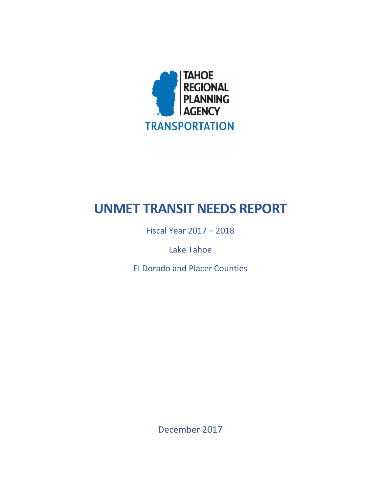

# **UNMET TRANSIT NEEDS REPORT**

Fiscal Year 2017 – 2018

Lake Tahoe

El Dorado and Placer Counties

December 2017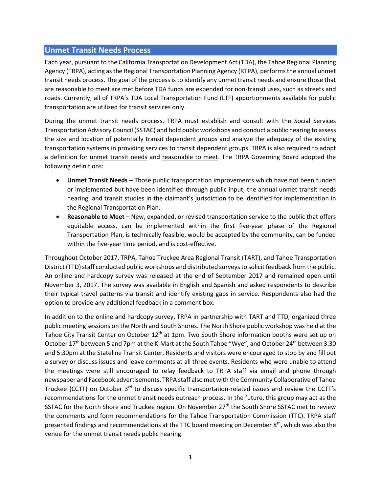#### **Unmet Transit Needs Process**

Each year, pursuant to the California Transportation Development Act (TDA), the Tahoe Regional Planning Agency (TRPA), acting as the Regional Transportation Planning Agency (RTPA), performs the annual unmet transit needs process. The goal of the process is to identify any unmet transit needs and ensure those that are reasonable to meet are met before TDA funds are expended for non-transit uses, such as streets and roads. Currently, all of TRPA's TDA Local Transportation Fund (LTF) apportionments available for public transportation are utilized for transit services only.

During the unmet transit needs process, TRPA must establish and consult with the Social Services Transportation Advisory Council (SSTAC) and hold public workshops and conduct a public hearing to assess the size and location of potentially transit dependent groups and analyze the adequacy of the existing transportation systems in providing services to transit dependent groups. TRPA is also required to adopt a definition for unmet transit needs and reasonable to meet. The TRPA Governing Board adopted the following definitions:

- **Unmet Transit Needs** Those public transportation improvements which have not been funded or implemented but have been identified through public input, the annual unmet transit needs hearing, and transit studies in the claimant's jurisdiction to be identified for implementation in the Regional Transportation Plan.
- **Reasonable to Meet** New, expanded, or revised transportation service to the public that offers equitable access, can be implemented within the first five-year phase of the Regional Transportation Plan, is technically feasible, would be accepted by the community, can be funded within the five-year time period, and is cost-effective.

Throughout October 2017, TRPA, Tahoe Truckee Area Regional Transit (TART), and Tahoe Transportation District (TTD) staff conducted public workshops and distributed surveys to solicit feedback from the public. An online and hardcopy survey was released at the end of September 2017 and remained open until November 3, 2017. The survey was available in English and Spanish and asked respondents to describe their typical travel patterns via transit and identify existing gaps in service. Respondents also had the option to provide any additional feedback in a comment box.

In addition to the online and hardcopy survey, TRPA in partnership with TART and TTD, organized three public meeting sessions on the North and South Shores. The North Shore public workshop was held at the Tahoe City Transit Center on October 12<sup>th</sup> at 1pm. Two South Shore information booths were set up on October 17th between 5 and 7pm at the K-Mart at the South Tahoe "Wye", and October 24th between 3:30 and 5:30pm at the Stateline Transit Center. Residents and visitors were encouraged to stop by and fill out a survey or discuss issues and leave comments at all three events. Residents who were unable to attend the meetings were still encouraged to relay feedback to TRPA staff via email and phone through newspaper and Facebook advertisements. TRPA staff also met with the Community Collaborative of Tahoe Truckee (CCTT) on October  $3<sup>rd</sup>$  to discuss specific transportation-related issues and review the CCTT's recommendations for the unmet transit needs outreach process. In the future, this group may act as the SSTAC for the North Shore and Truckee region. On November 27<sup>th</sup> the South Shore SSTAC met to review the comments and form recommendations for the Tahoe Transportation Commission (TTC). TRPA staff presented findings and recommendations at the TTC board meeting on December  $8<sup>th</sup>$ , which was also the venue for the unmet transit needs public hearing.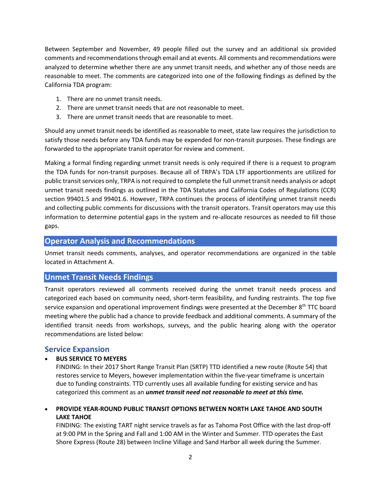Between September and November, 49 people filled out the survey and an additional six provided comments and recommendationsthrough email and at events. All comments and recommendations were analyzed to determine whether there are any unmet transit needs, and whether any of those needs are reasonable to meet. The comments are categorized into one of the following findings as defined by the California TDA program:

- 1. There are no unmet transit needs.
- 2. There are unmet transit needs that are not reasonable to meet.
- 3. There are unmet transit needs that are reasonable to meet.

Should any unmet transit needs be identified as reasonable to meet, state law requires the jurisdiction to satisfy those needs before any TDA funds may be expended for non-transit purposes. These findings are forwarded to the appropriate transit operator for review and comment.

Making a formal finding regarding unmet transit needs is only required if there is a request to program the TDA funds for non-transit purposes. Because all of TRPA's TDA LTF apportionments are utilized for public transit services only, TRPA is not required to complete the full unmet transit needs analysis or adopt unmet transit needs findings as outlined in the TDA Statutes and California Codes of Regulations (CCR) section 99401.5 and 99401.6. However, TRPA continues the process of identifying unmet transit needs and collecting public comments for discussions with the transit operators. Transit operators may use this information to determine potential gaps in the system and re-allocate resources as needed to fill those gaps.

#### **Operator Analysis and Recommendations**

Unmet transit needs comments, analyses, and operator recommendations are organized in the table located in Attachment A.

#### **Unmet Transit Needs Findings**

Transit operators reviewed all comments received during the unmet transit needs process and categorized each based on community need, short-term feasibility, and funding restraints. The top five service expansion and operational improvement findings were presented at the December  $8<sup>th</sup> TTC$  board meeting where the public had a chance to provide feedback and additional comments. A summary of the identified transit needs from workshops, surveys, and the public hearing along with the operator recommendations are listed below:

#### **Service Expansion**

#### • **BUS SERVICE TO MEYERS**

FINDING: In their 2017 Short Range Transit Plan (SRTP) TTD identified a new route (Route 54) that restores service to Meyers, however implementation within the five-year timeframe is uncertain due to funding constraints. TTD currently uses all available funding for existing service and has categorized this comment as an *unmet transit need not reasonable to meet at this time.*

• **PROVIDE YEAR-ROUND PUBLIC TRANSIT OPTIONS BETWEEN NORTH LAKE TAHOE AND SOUTH LAKE TAHOE**

FINDING: The existing TART night service travels as far as Tahoma Post Office with the last drop-off at 9:00 PM in the Spring and Fall and 1:00 AM in the Winter and Summer. TTD operates the East Shore Express (Route 28) between Incline Village and Sand Harbor all week during the Summer.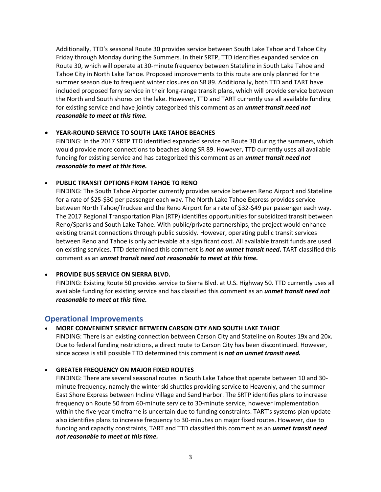Additionally, TTD's seasonal Route 30 provides service between South Lake Tahoe and Tahoe City Friday through Monday during the Summers. In their SRTP, TTD identifies expanded service on Route 30, which will operate at 30-minute frequency between Stateline in South Lake Tahoe and Tahoe City in North Lake Tahoe. Proposed improvements to this route are only planned for the summer season due to frequent winter closures on SR 89. Additionally, both TTD and TART have included proposed ferry service in their long-range transit plans, which will provide service between the North and South shores on the lake. However, TTD and TART currently use all available funding for existing service and have jointly categorized this comment as an *unmet transit need not reasonable to meet at this time.*

#### • **YEAR-ROUND SERVICE TO SOUTH LAKE TAHOE BEACHES**

FINDING: In the 2017 SRTP TTD identified expanded service on Route 30 during the summers, which would provide more connections to beaches along SR 89. However, TTD currently uses all available funding for existing service and has categorized this comment as an *unmet transit need not reasonable to meet at this time.*

#### • **PUBLIC TRANSIT OPTIONS FROM TAHOE TO RENO**

FINDING: The South Tahoe Airporter currently provides service between Reno Airport and Stateline for a rate of \$25-\$30 per passenger each way. The North Lake Tahoe Express provides service between North Tahoe/Truckee and the Reno Airport for a rate of \$32-\$49 per passenger each way. The 2017 Regional Transportation Plan (RTP) identifies opportunities for subsidized transit between Reno/Sparks and South Lake Tahoe. With public/private partnerships, the project would enhance existing transit connections through public subsidy. However, operating public transit services between Reno and Tahoe is only achievable at a significant cost. All available transit funds are used on existing services. TTD determined this comment is *not an unmet transit need***.** TART classified this comment as an *unmet transit need not reasonable to meet at this time.*

#### • **PROVIDE BUS SERVICE ON SIERRA BLVD.**

FINDING: Existing Route 50 provides service to Sierra Blvd. at U.S. Highway 50. TTD currently uses all available funding for existing service and has classified this comment as an *unmet transit need not reasonable to meet at this time.*

#### **Operational Improvements**

#### • **MORE CONVENIENT SERVICE BETWEEN CARSON CITY AND SOUTH LAKE TAHOE**

FINDING: There is an existing connection between Carson City and Stateline on Routes 19x and 20x. Due to federal funding restrictions, a direct route to Carson City has been discontinued. However, since access is still possible TTD determined this comment is *not an unmet transit need.*

#### • **GREATER FREQUENCY ON MAJOR FIXED ROUTES**

FINDING: There are several seasonal routes in South Lake Tahoe that operate between 10 and 30 minute frequency, namely the winter ski shuttles providing service to Heavenly, and the summer East Shore Express between Incline Village and Sand Harbor. The SRTP identifies plans to increase frequency on Route 50 from 60-minute service to 30-minute service, however implementation within the five-year timeframe is uncertain due to funding constraints. TART's systems plan update also identifies plans to increase frequency to 30-minutes on major fixed routes. However, due to funding and capacity constraints, TART and TTD classified this comment as an *unmet transit need not reasonable to meet at this time.*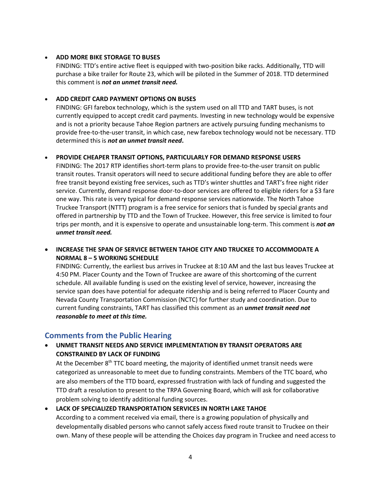#### • **ADD MORE BIKE STORAGE TO BUSES**

FINDING: TTD's entire active fleet is equipped with two-position bike racks. Additionally, TTD will purchase a bike trailer for Route 23, which will be piloted in the Summer of 2018. TTD determined this comment is *not an unmet transit need.*

#### • **ADD CREDIT CARD PAYMENT OPTIONS ON BUSES**

FINDING: GFI farebox technology, which is the system used on all TTD and TART buses, is not currently equipped to accept credit card payments. Investing in new technology would be expensive and is not a priority because Tahoe Region partners are actively pursuing funding mechanisms to provide free-to-the-user transit, in which case, new farebox technology would not be necessary. TTD determined this is *not an unmet transit need***.**

#### • **PROVIDE CHEAPER TRANSIT OPTIONS, PARTICULARLY FOR DEMAND RESPONSE USERS**

FINDING: The 2017 RTP identifies short-term plans to provide free-to-the-user transit on public transit routes. Transit operators will need to secure additional funding before they are able to offer free transit beyond existing free services, such as TTD's winter shuttles and TART's free night rider service. Currently, demand response door-to-door services are offered to eligible riders for a \$3 fare one way. This rate is very typical for demand response services nationwide. The North Tahoe Truckee Transport (NTTT) program is a free service for seniors that is funded by special grants and offered in partnership by TTD and the Town of Truckee. However, this free service is limited to four trips per month, and it is expensive to operate and unsustainable long-term. This comment is *not an unmet transit need.*

• **INCREASE THE SPAN OF SERVICE BETWEEN TAHOE CITY AND TRUCKEE TO ACCOMMODATE A NORMAL 8 – 5 WORKING SCHEDULE**

FINDING: Currently, the earliest bus arrives in Truckee at 8:10 AM and the last bus leaves Truckee at 4:50 PM. Placer County and the Town of Truckee are aware of this shortcoming of the current schedule. All available funding is used on the existing level of service, however, increasing the service span does have potential for adequate ridership and is being referred to Placer County and Nevada County Transportation Commission (NCTC) for further study and coordination. Due to current funding constraints, TART has classified this comment as an *unmet transit need not reasonable to meet at this time.*

## **Comments from the Public Hearing**

#### • **UNMET TRANSIT NEEDS AND SERVICE IMPLEMENTATION BY TRANSIT OPERATORS ARE CONSTRAINED BY LACK OF FUNDING**

At the December 8<sup>th</sup> TTC board meeting, the majority of identified unmet transit needs were categorized as unreasonable to meet due to funding constraints. Members of the TTC board, who are also members of the TTD board, expressed frustration with lack of funding and suggested the TTD draft a resolution to present to the TRPA Governing Board, which will ask for collaborative problem solving to identify additional funding sources.

• **LACK OF SPECIALIZED TRANSPORTATION SERVICES IN NORTH LAKE TAHOE** According to a comment received via email, there is a growing population of physically and developmentally disabled persons who cannot safely access fixed route transit to Truckee on their own. Many of these people will be attending the Choices day program in Truckee and need access to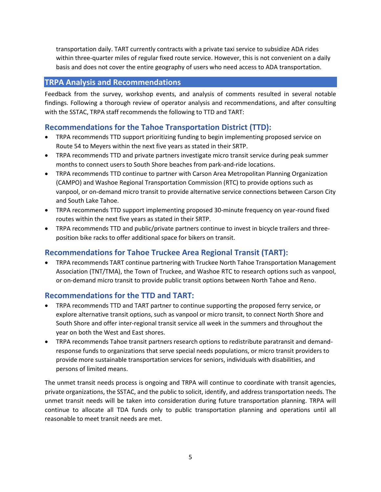transportation daily. TART currently contracts with a private taxi service to subsidize ADA rides within three-quarter miles of regular fixed route service. However, this is not convenient on a daily basis and does not cover the entire geography of users who need access to ADA transportation.

### **TRPA Analysis and Recommendations**

Feedback from the survey, workshop events, and analysis of comments resulted in several notable findings. Following a thorough review of operator analysis and recommendations, and after consulting with the SSTAC, TRPA staff recommends the following to TTD and TART:

## **Recommendations for the Tahoe Transportation District (TTD):**

- TRPA recommends TTD support prioritizing funding to begin implementing proposed service on Route 54 to Meyers within the next five years as stated in their SRTP.
- TRPA recommends TTD and private partners investigate micro transit service during peak summer months to connect users to South Shore beaches from park-and-ride locations.
- TRPA recommends TTD continue to partner with Carson Area Metropolitan Planning Organization (CAMPO) and Washoe Regional Transportation Commission (RTC) to provide options such as vanpool, or on-demand micro transit to provide alternative service connections between Carson City and South Lake Tahoe.
- TRPA recommends TTD support implementing proposed 30-minute frequency on year-round fixed routes within the next five years as stated in their SRTP.
- TRPA recommends TTD and public/private partners continue to invest in bicycle trailers and threeposition bike racks to offer additional space for bikers on transit.

## **Recommendations for Tahoe Truckee Area Regional Transit (TART):**

• TRPA recommends TART continue partnering with Truckee North Tahoe Transportation Management Association (TNT/TMA), the Town of Truckee, and Washoe RTC to research options such as vanpool, or on-demand micro transit to provide public transit options between North Tahoe and Reno.

## **Recommendations for the TTD and TART:**

- TRPA recommends TTD and TART partner to continue supporting the proposed ferry service, or explore alternative transit options, such as vanpool or micro transit, to connect North Shore and South Shore and offer inter-regional transit service all week in the summers and throughout the year on both the West and East shores.
- TRPA recommends Tahoe transit partners research options to redistribute paratransit and demandresponse funds to organizations that serve special needs populations, or micro transit providers to provide more sustainable transportation services for seniors, individuals with disabilities, and persons of limited means.

The unmet transit needs process is ongoing and TRPA will continue to coordinate with transit agencies, private organizations, the SSTAC, and the public to solicit, identify, and address transportation needs. The unmet transit needs will be taken into consideration during future transportation planning. TRPA will continue to allocate all TDA funds only to public transportation planning and operations until all reasonable to meet transit needs are met.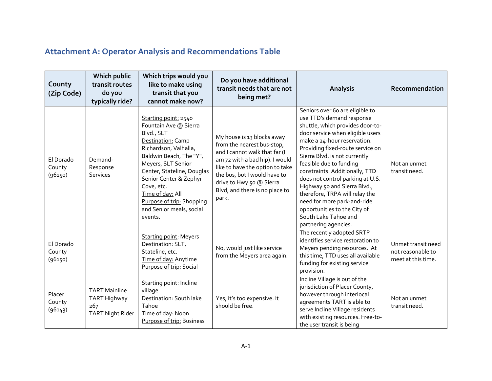## **Attachment A: Operator Analysis and Recommendations Table**

| County<br>(Zip Code)           | Which public<br>transit routes<br>do you<br>typically ride?            | Which trips would you<br>like to make using<br>transit that you<br>cannot make now?                                                                                                                                                                                                                                      | Do you have additional<br>transit needs that are not<br>being met?                                                                                                                                                                                                    | <b>Analysis</b>                                                                                                                                                                                                                                                                                                                                                                                                                                                                                                            | Recommendation                                                |
|--------------------------------|------------------------------------------------------------------------|--------------------------------------------------------------------------------------------------------------------------------------------------------------------------------------------------------------------------------------------------------------------------------------------------------------------------|-----------------------------------------------------------------------------------------------------------------------------------------------------------------------------------------------------------------------------------------------------------------------|----------------------------------------------------------------------------------------------------------------------------------------------------------------------------------------------------------------------------------------------------------------------------------------------------------------------------------------------------------------------------------------------------------------------------------------------------------------------------------------------------------------------------|---------------------------------------------------------------|
| El Dorado<br>County<br>(96150) | Demand-<br>Response<br><b>Services</b>                                 | Starting point: 2540<br>Fountain Ave @ Sierra<br>Blvd., SLT<br>Destination: Camp<br>Richardson, Valhalla,<br>Baldwin Beach, The "Y",<br>Meyers, SLT Senior<br>Center, Stateline, Douglas<br>Senior Center & Zephyr<br>Cove, etc.<br>Time of day: All<br>Purpose of trip: Shopping<br>and Senior meals, social<br>events. | My house is 13 blocks away<br>from the nearest bus-stop,<br>and I cannot walk that far (I<br>am 72 with a bad hip). I would<br>like to have the option to take<br>the bus, but I would have to<br>drive to Hwy 50 @ Sierra<br>Blvd, and there is no place to<br>park. | Seniors over 60 are eligible to<br>use TTD's demand response<br>shuttle, which provides door-to-<br>door service when eligible users<br>make a 24-hour reservation.<br>Providing fixed-route service on<br>Sierra Blvd. is not currently<br>feasible due to funding<br>constraints. Additionally, TTD<br>does not control parking at U.S.<br>Highway 50 and Sierra Blvd.,<br>therefore, TRPA will relay the<br>need for more park-and-ride<br>opportunities to the City of<br>South Lake Tahoe and<br>partnering agencies. | Not an unmet<br>transit need.                                 |
| El Dorado<br>County<br>(96150) |                                                                        | <b>Starting point: Meyers</b><br>Destination: SLT,<br>Stateline, etc.<br>Time of day: Anytime<br>Purpose of trip: Social                                                                                                                                                                                                 | No, would just like service<br>from the Meyers area again.                                                                                                                                                                                                            | The recently adopted SRTP<br>identifies service restoration to<br>Meyers pending resources. At<br>this time, TTD uses all available<br>funding for existing service<br>provision.                                                                                                                                                                                                                                                                                                                                          | Unmet transit need<br>not reasonable to<br>meet at this time. |
| Placer<br>County<br>(96143)    | <b>TART Mainline</b><br>TART Highway<br>267<br><b>TART Night Rider</b> | <b>Starting point: Incline</b><br>village<br>Destination: South lake<br>Tahoe<br>Time of day: Noon<br>Purpose of trip: Business                                                                                                                                                                                          | Yes, it's too expensive. It<br>should be free.                                                                                                                                                                                                                        | Incline Village is out of the<br>jurisdiction of Placer County,<br>however through interlocal<br>agreements TART is able to<br>serve Incline Village residents<br>with existing resources. Free-to-<br>the user transit is being                                                                                                                                                                                                                                                                                           | Not an unmet<br>transit need.                                 |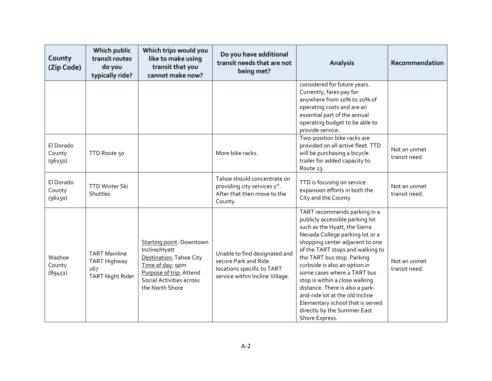| County<br>(Zip Code)           | <b>Which public</b><br>transit routes<br>do you<br>typically ride?     | Which trips would you<br>like to make using<br>transit that you<br>cannot make now?                                                                                       | Do you have additional<br>transit needs that are not<br>being met?                                                     | <b>Analysis</b>                                                                                                                                                                                                                                                                                                                                                                                                                                                                                       | Recommendation                |
|--------------------------------|------------------------------------------------------------------------|---------------------------------------------------------------------------------------------------------------------------------------------------------------------------|------------------------------------------------------------------------------------------------------------------------|-------------------------------------------------------------------------------------------------------------------------------------------------------------------------------------------------------------------------------------------------------------------------------------------------------------------------------------------------------------------------------------------------------------------------------------------------------------------------------------------------------|-------------------------------|
|                                |                                                                        |                                                                                                                                                                           |                                                                                                                        | considered for future years.<br>Currently, fares pay for<br>anywhere from 10% to 20% of<br>operating costs and are an<br>essential part of the annual<br>operating budget to be able to<br>provide service.                                                                                                                                                                                                                                                                                           |                               |
| El Dorado<br>County<br>(96150) | TTD Route 50                                                           |                                                                                                                                                                           | More bike racks.                                                                                                       | Two-position bike racks are<br>provided on all active fleet. TTD<br>will be purchasing a bicycle<br>trailer for added capacity to<br>Route 23.                                                                                                                                                                                                                                                                                                                                                        | Not an unmet<br>transit need. |
| El Dorado<br>County<br>(96150) | <b>TTD Winter Ski</b><br>Shuttles                                      |                                                                                                                                                                           | Tahoe should concentrate on<br>providing city services 1st.<br>After that then move to the<br>County.                  | TTD is focusing on service<br>expansion efforts in both the<br>City and the County                                                                                                                                                                                                                                                                                                                                                                                                                    | Not an unmet<br>transit need. |
| Washoe<br>County<br>(89451)    | <b>TART Mainline</b><br>TART Highway<br>267<br><b>TART Night Rider</b> | Starting point: Downtown<br>Incline/Hyatt<br>Destination: Tahoe City<br>Time of day: 9pm<br>Purpose of trip: Attend<br><b>Social Activities across</b><br>the North Shore | Unable to find designated and<br>secure Park and Ride<br>locations specific to TART<br>service within Incline Village. | TART recommends parking in a<br>publicly accessible parking lot<br>such as the Hyatt, the Sierra<br>Nevada College parking lot or a<br>shopping center adjacent to one<br>of the TART stops and walking to<br>the TART bus stop. Parking<br>curbside is also an option in<br>some cases where a TART bus<br>stop is within a close walking<br>distance. There is also a park-<br>and-ride lot at the old Incline<br>Elementary school that is served<br>directly by the Summer East<br>Shore Express. | Not an unmet<br>transit need. |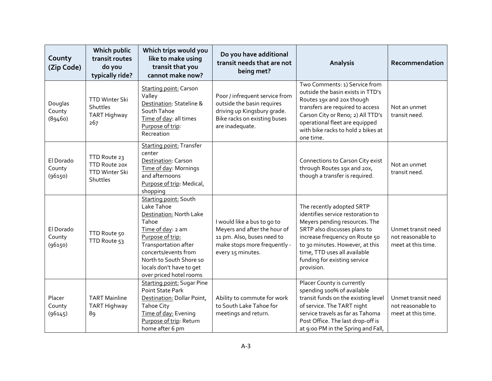| County<br>(Zip Code)           | <b>Which public</b><br>transit routes<br>do you<br>typically ride? | Which trips would you<br>like to make using<br>transit that you<br>cannot make now?                                                                                                                                                                       | Do you have additional<br>transit needs that are not<br>being met?                                                                             | Analysis                                                                                                                                                                                                                                                                           | Recommendation                                                |
|--------------------------------|--------------------------------------------------------------------|-----------------------------------------------------------------------------------------------------------------------------------------------------------------------------------------------------------------------------------------------------------|------------------------------------------------------------------------------------------------------------------------------------------------|------------------------------------------------------------------------------------------------------------------------------------------------------------------------------------------------------------------------------------------------------------------------------------|---------------------------------------------------------------|
| Douglas<br>County<br>(89460)   | TTD Winter Ski<br>Shuttles<br>TART Highway<br>267                  | <b>Starting point: Carson</b><br>Valley<br>Destination: Stateline &<br>South Tahoe<br>Time of day: all times<br>Purpose of trip:<br>Recreation                                                                                                            | Poor / infrequent service from<br>outside the basin requires<br>driving up Kingsbury grade.<br>Bike racks on existing buses<br>are inadequate. | Two Comments: 1) Service from<br>outside the basin exists in TTD's<br>Routes 19x and 20x though<br>transfers are required to access<br>Carson City or Reno; 2) All TTD's<br>operational fleet are equipped<br>with bike racks to hold 2 bikes at<br>one time.                      | Not an unmet<br>transit need.                                 |
| El Dorado<br>County<br>(96150) | TTD Route 23<br>TTD Route 20X<br><b>TTD Winter Ski</b><br>Shuttles | <b>Starting point: Transfer</b><br>center<br>Destination: Carson<br>Time of day: Mornings<br>and afternoons<br>Purpose of trip: Medical,<br>shopping                                                                                                      |                                                                                                                                                | Connections to Carson City exist<br>through Routes 19x and 20x,<br>though a transfer is required.                                                                                                                                                                                  | Not an unmet<br>transit need.                                 |
| El Dorado<br>County<br>(96150) | TTD Route 50<br>TTD Route 53                                       | <b>Starting point: South</b><br>Lake Tahoe<br>Destination: North Lake<br>Tahoe<br>Time of day: 2 am<br>Purpose of trip:<br>Transportation after<br>concerts/events from<br>North to South Shore so<br>locals don't have to get<br>over priced hotel rooms | I would like a bus to go to<br>Meyers and after the hour of<br>11 pm. Also, buses need to<br>make stops more frequently -<br>every 15 minutes. | The recently adopted SRTP<br>identifies service restoration to<br>Meyers pending resources. The<br>SRTP also discusses plans to<br>increase frequency on Route 50<br>to 30 minutes. However, at this<br>time, TTD uses all available<br>funding for existing service<br>provision. | Unmet transit need<br>not reasonable to<br>meet at this time. |
| Placer<br>County<br>(96145)    | <b>TART Mainline</b><br><b>TART Highway</b><br>89                  | <b>Starting point: Sugar Pine</b><br><b>Point State Park</b><br>Destination: Dollar Point,<br><b>Tahoe City</b><br>Time of day: Evening<br>Purpose of trip: Return<br>home after 6 pm                                                                     | Ability to commute for work<br>to South Lake Tahoe for<br>meetings and return.                                                                 | Placer County is currently<br>spending 100% of available<br>transit funds on the existing level<br>of service. The TART night<br>service travels as far as Tahoma<br>Post Office. The last drop-off is<br>at 9:00 PM in the Spring and Fall,                                       | Unmet transit need<br>not reasonable to<br>meet at this time. |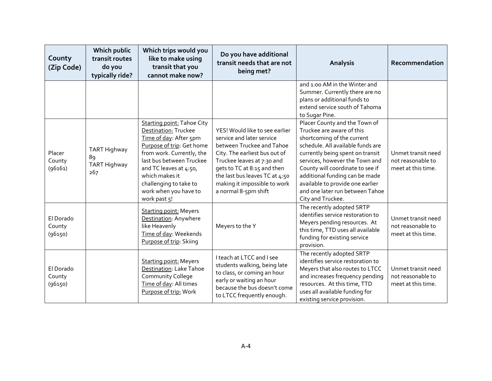| County<br>(Zip Code)           | Which public<br>transit routes<br>do you<br>typically ride? | Which trips would you<br>like to make using<br>transit that you<br>cannot make now?                                                                                                                                                                                                      | Do you have additional<br>transit needs that are not<br>being met?                                                                                                                                                                                                               | Analysis                                                                                                                                                                                                                                                                                                                                                              | Recommendation                                                |
|--------------------------------|-------------------------------------------------------------|------------------------------------------------------------------------------------------------------------------------------------------------------------------------------------------------------------------------------------------------------------------------------------------|----------------------------------------------------------------------------------------------------------------------------------------------------------------------------------------------------------------------------------------------------------------------------------|-----------------------------------------------------------------------------------------------------------------------------------------------------------------------------------------------------------------------------------------------------------------------------------------------------------------------------------------------------------------------|---------------------------------------------------------------|
|                                |                                                             |                                                                                                                                                                                                                                                                                          |                                                                                                                                                                                                                                                                                  | and 1:00 AM in the Winter and<br>Summer. Currently there are no<br>plans or additional funds to<br>extend service south of Tahoma<br>to Sugar Pine.                                                                                                                                                                                                                   |                                                               |
| Placer<br>County<br>(96161)    | <b>TART Highway</b><br>89<br>TART Highway<br>267            | <b>Starting point: Tahoe City</b><br>Destination: Truckee<br>Time of day: After 5pm<br>Purpose of trip: Get home<br>from work. Currently, the<br>last bus between Truckee<br>and TC leaves at 4:50,<br>which makes it<br>challenging to take to<br>work when you have to<br>work past 5! | YES! Would like to see earlier<br>service and later service<br>between Truckee and Tahoe<br>City. The earliest bus out of<br>Truckee leaves at 7:30 and<br>gets to TC at 8:15 and then<br>the last bus leaves TC at 4:50<br>making it impossible to work<br>a normal 8-5pm shift | Placer County and the Town of<br>Truckee are aware of this<br>shortcoming of the current<br>schedule. All available funds are<br>currently being spent on transit<br>services, however the Town and<br>County will coordinate to see if<br>additional funding can be made<br>available to provide one earlier<br>and one later run between Tahoe<br>City and Truckee. | Unmet transit need<br>not reasonable to<br>meet at this time. |
| El Dorado<br>County<br>(96150) |                                                             | <b>Starting point: Meyers</b><br>Destination: Anywhere<br>like Heavenly<br>Time of day: Weekends<br>Purpose of trip: Skiing                                                                                                                                                              | Meyers to the Y                                                                                                                                                                                                                                                                  | The recently adopted SRTP<br>identifies service restoration to<br>Meyers pending resources. At<br>this time, TTD uses all available<br>funding for existing service<br>provision.                                                                                                                                                                                     | Unmet transit need<br>not reasonable to<br>meet at this time. |
| El Dorado<br>County<br>(96150) |                                                             | <b>Starting point: Meyers</b><br>Destination: Lake Tahoe<br>Community College<br>Time of day: All times<br>Purpose of trip: Work                                                                                                                                                         | I teach at LTCC and I see<br>students walking, being late<br>to class, or coming an hour<br>early or waiting an hour<br>because the bus doesn't come<br>to LTCC frequently enough.                                                                                               | The recently adopted SRTP<br>identifies service restoration to<br>Meyers that also routes to LTCC<br>and increases frequency pending<br>resources. At this time, TTD<br>uses all available funding for<br>existing service provision.                                                                                                                                 | Unmet transit need<br>not reasonable to<br>meet at this time. |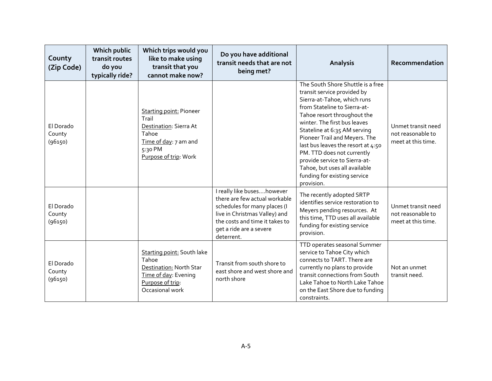| County<br>(Zip Code)           | Which public<br>transit routes<br>do you<br>typically ride? | Which trips would you<br>like to make using<br>transit that you<br>cannot make now?                                                     | Do you have additional<br>transit needs that are not<br>being met?                                                                                                                                      | <b>Analysis</b>                                                                                                                                                                                                                                                                                                                                                                                                                                     | Recommendation                                                |
|--------------------------------|-------------------------------------------------------------|-----------------------------------------------------------------------------------------------------------------------------------------|---------------------------------------------------------------------------------------------------------------------------------------------------------------------------------------------------------|-----------------------------------------------------------------------------------------------------------------------------------------------------------------------------------------------------------------------------------------------------------------------------------------------------------------------------------------------------------------------------------------------------------------------------------------------------|---------------------------------------------------------------|
| El Dorado<br>County<br>(96150) |                                                             | <b>Starting point: Pioneer</b><br>Trail<br>Destination: Sierra At<br>Tahoe<br>Time of day: 7 am and<br>5:30 PM<br>Purpose of trip: Work |                                                                                                                                                                                                         | The South Shore Shuttle is a free<br>transit service provided by<br>Sierra-at-Tahoe, which runs<br>from Stateline to Sierra-at-<br>Tahoe resort throughout the<br>winter. The first bus leaves<br>Stateline at 6:35 AM serving<br>Pioneer Trail and Meyers. The<br>last bus leaves the resort at 4:50<br>PM. TTD does not currently<br>provide service to Sierra-at-<br>Tahoe, but uses all available<br>funding for existing service<br>provision. | Unmet transit need<br>not reasonable to<br>meet at this time. |
| El Dorado<br>County<br>(96150) |                                                             |                                                                                                                                         | I really like buseshowever<br>there are few actual workable<br>schedules for many places (I<br>live in Christmas Valley) and<br>the costs and time it takes to<br>get a ride are a severe<br>deterrent. | The recently adopted SRTP<br>identifies service restoration to<br>Meyers pending resources. At<br>this time, TTD uses all available<br>funding for existing service<br>provision.                                                                                                                                                                                                                                                                   | Unmet transit need<br>not reasonable to<br>meet at this time. |
| El Dorado<br>County<br>(96150) |                                                             | Starting point: South lake<br>Tahoe<br>Destination: North Star<br>Time of day: Evening<br>Purpose of trip:<br>Occasional work           | Transit from south shore to<br>east shore and west shore and<br>north shore                                                                                                                             | TTD operates seasonal Summer<br>service to Tahoe City which<br>connects to TART. There are<br>currently no plans to provide<br>transit connections from South<br>Lake Tahoe to North Lake Tahoe<br>on the East Shore due to funding<br>constraints.                                                                                                                                                                                                 | Not an unmet<br>transit need.                                 |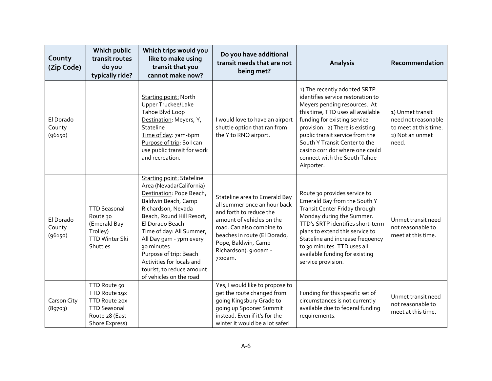| County<br>(Zip Code)           | Which public<br>transit routes<br>do you<br>typically ride?                                               | Which trips would you<br>like to make using<br>transit that you<br>cannot make now?                                                                                                                                                                                                                                                                                       | Do you have additional<br>transit needs that are not<br>being met?                                                                                                                                                                            | <b>Analysis</b>                                                                                                                                                                                                                                                                                                                                                | Recommendation                                                                               |
|--------------------------------|-----------------------------------------------------------------------------------------------------------|---------------------------------------------------------------------------------------------------------------------------------------------------------------------------------------------------------------------------------------------------------------------------------------------------------------------------------------------------------------------------|-----------------------------------------------------------------------------------------------------------------------------------------------------------------------------------------------------------------------------------------------|----------------------------------------------------------------------------------------------------------------------------------------------------------------------------------------------------------------------------------------------------------------------------------------------------------------------------------------------------------------|----------------------------------------------------------------------------------------------|
| El Dorado<br>County<br>(96150) |                                                                                                           | <b>Starting point: North</b><br>Upper Truckee/Lake<br>Tahoe Blvd Loop<br>Destination: Meyers, Y,<br>Stateline<br>Time of day: 7am-6pm<br>Purpose of trip: So I can<br>use public transit for work<br>and recreation.                                                                                                                                                      | I would love to have an airport<br>shuttle option that ran from<br>the Y to RNO airport.                                                                                                                                                      | 1) The recently adopted SRTP<br>identifies service restoration to<br>Meyers pending resources. At<br>this time, TTD uses all available<br>funding for existing service<br>provision. 2) There is existing<br>public transit service from the<br>South Y Transit Center to the<br>casino corridor where one could<br>connect with the South Tahoe<br>Airporter. | 1) Unmet transit<br>need not reasonable<br>to meet at this time.<br>2) Not an unmet<br>need. |
| El Dorado<br>County<br>(96150) | <b>TTD Seasonal</b><br>Route 30<br>(Emerald Bay<br>Trolley)<br><b>TTD Winter Ski</b><br>Shuttles          | <b>Starting point: Stateline</b><br>Area (Nevada/California)<br>Destination: Pope Beach,<br>Baldwin Beach, Camp<br>Richardson, Nevada<br>Beach, Round Hill Resort,<br>El Dorado Beach<br>Time of day: All Summer,<br>All Day gam - 7pm every<br>30 minutes<br>Purpose of trip: Beach<br>Activities for locals and<br>tourist, to reduce amount<br>of vehicles on the road | Stateline area to Emerald Bay<br>all summer once an hour back<br>and forth to reduce the<br>amount of vehicles on the<br>road. Can also combine to<br>beaches in route (El Dorado,<br>Pope, Baldwin, Camp<br>Richardson). 9:00am -<br>7:00am. | Route 30 provides service to<br>Emerald Bay from the South Y<br>Transit Center Friday through<br>Monday during the Summer.<br>TTD's SRTP identifies short-term<br>plans to extend this service to<br>Stateline and increase frequency<br>to 30 minutes. TTD uses all<br>available funding for existing<br>service provision.                                   | Unmet transit need<br>not reasonable to<br>meet at this time.                                |
| Carson City<br>(89703)         | TTD Route 50<br>TTD Route 19X<br>TTD Route 20X<br><b>TTD Seasonal</b><br>Route 28 (East<br>Shore Express) |                                                                                                                                                                                                                                                                                                                                                                           | Yes, I would like to propose to<br>get the route changed from<br>going Kingsbury Grade to<br>going up Spooner Summit<br>instead. Even if it's for the<br>winter it would be a lot safer!                                                      | Funding for this specific set of<br>circumstances is not currently<br>available due to federal funding<br>requirements.                                                                                                                                                                                                                                        | Unmet transit need<br>not reasonable to<br>meet at this time.                                |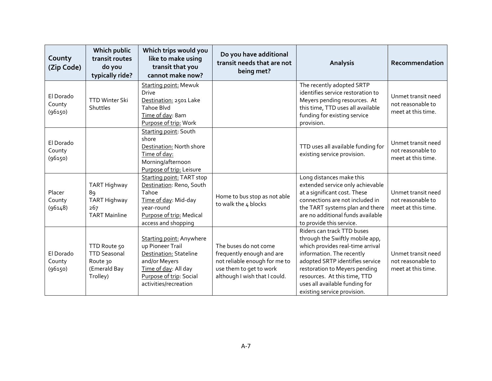| County<br>(Zip Code)           | Which public<br>transit routes<br>do you<br>typically ride?                 | Which trips would you<br>like to make using<br>transit that you<br>cannot make now?                                                                                        | Do you have additional<br>transit needs that are not<br>being met?                                                                              | Analysis                                                                                                                                                                                                                                                                                            | Recommendation                                                |
|--------------------------------|-----------------------------------------------------------------------------|----------------------------------------------------------------------------------------------------------------------------------------------------------------------------|-------------------------------------------------------------------------------------------------------------------------------------------------|-----------------------------------------------------------------------------------------------------------------------------------------------------------------------------------------------------------------------------------------------------------------------------------------------------|---------------------------------------------------------------|
| El Dorado<br>County<br>(96150) | <b>TTD Winter Ski</b><br>Shuttles                                           | <b>Starting point: Mewuk</b><br><b>Drive</b><br>Destination: 2501 Lake<br><b>Tahoe Blvd</b><br>Time of day: 8am<br>Purpose of trip: Work                                   |                                                                                                                                                 | The recently adopted SRTP<br>identifies service restoration to<br>Meyers pending resources. At<br>this time, TTD uses all available<br>funding for existing service<br>provision.                                                                                                                   | Unmet transit need<br>not reasonable to<br>meet at this time. |
| El Dorado<br>County<br>(96150) |                                                                             | Starting point: South<br>shore<br>Destination: North shore<br>Time of day:<br>Morning/afternoon<br>Purpose of trip: Leisure                                                |                                                                                                                                                 | TTD uses all available funding for<br>existing service provision.                                                                                                                                                                                                                                   | Unmet transit need<br>not reasonable to<br>meet at this time. |
| Placer<br>County<br>(96148)    | <b>TART Highway</b><br>89<br>TART Highway<br>267<br><b>TART Mainline</b>    | <b>Starting point: TART stop</b><br>Destination: Reno, South<br>Tahoe<br>Time of day: Mid-day<br>year-round<br>Purpose of trip: Medical<br>access and shopping             | Home to bus stop as not able<br>to walk the 4 blocks                                                                                            | Long distances make this<br>extended service only achievable<br>at a significant cost. These<br>connections are not included in<br>the TART systems plan and there<br>are no additional funds available<br>to provide this service.                                                                 | Unmet transit need<br>not reasonable to<br>meet at this time. |
| El Dorado<br>County<br>(96150) | TTD Route 50<br><b>TTD Seasonal</b><br>Route 30<br>(Emerald Bay<br>Trolley) | <b>Starting point: Anywhere</b><br>up Pioneer Trail<br>Destination: Stateline<br>and/or Meyers<br>Time of day: All day<br>Purpose of trip: Social<br>activities/recreation | The buses do not come<br>frequently enough and are<br>not reliable enough for me to<br>use them to get to work<br>although I wish that I could. | Riders can track TTD buses<br>through the Swiftly mobile app,<br>which provides real-time arrival<br>information. The recently<br>adopted SRTP identifies service<br>restoration to Meyers pending<br>resources. At this time, TTD<br>uses all available funding for<br>existing service provision. | Unmet transit need<br>not reasonable to<br>meet at this time. |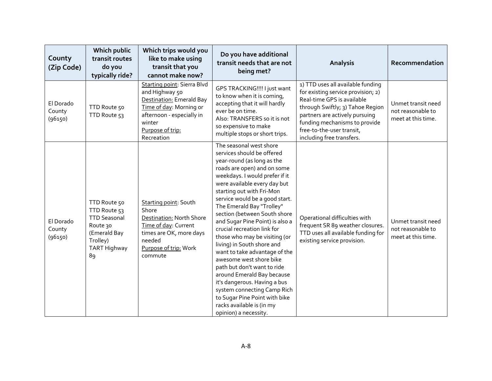| County<br>(Zip Code)           | Which public<br>transit routes<br>do you<br>typically ride?                                                              | Which trips would you<br>like to make using<br>transit that you<br>cannot make now?                                                                                           | Do you have additional<br>transit needs that are not<br>being met?                                                                                                                                                                                                                                                                                                                                                                                                                                                                                                                                                                                                                                                               | <b>Analysis</b>                                                                                                                                                                                                                                                        | Recommendation                                                |
|--------------------------------|--------------------------------------------------------------------------------------------------------------------------|-------------------------------------------------------------------------------------------------------------------------------------------------------------------------------|----------------------------------------------------------------------------------------------------------------------------------------------------------------------------------------------------------------------------------------------------------------------------------------------------------------------------------------------------------------------------------------------------------------------------------------------------------------------------------------------------------------------------------------------------------------------------------------------------------------------------------------------------------------------------------------------------------------------------------|------------------------------------------------------------------------------------------------------------------------------------------------------------------------------------------------------------------------------------------------------------------------|---------------------------------------------------------------|
| El Dorado<br>County<br>(96150) | TTD Route 50<br>TTD Route 53                                                                                             | Starting point: Sierra Blvd<br>and Highway 50<br>Destination: Emerald Bay<br>Time of day: Morning or<br>afternoon - especially in<br>winter<br>Purpose of trip:<br>Recreation | GPS TRACKING !!!! I just want<br>to know when it is coming,<br>accepting that it will hardly<br>ever be on time.<br>Also: TRANSFERS so it is not<br>so expensive to make<br>multiple stops or short trips.                                                                                                                                                                                                                                                                                                                                                                                                                                                                                                                       | 1) TTD uses all available funding<br>for existing service provision; 2)<br>Real-time GPS is available<br>through Swiftly; 3) Tahoe Region<br>partners are actively pursuing<br>funding mechanisms to provide<br>free-to-the-user transit,<br>including free transfers. | Unmet transit need<br>not reasonable to<br>meet at this time. |
| El Dorado<br>County<br>(96150) | TTD Route 50<br>TTD Route 53<br><b>TTD Seasonal</b><br>Route 30<br>(Emerald Bay<br>Trolley)<br><b>TART Highway</b><br>89 | Starting point: South<br>Shore<br>Destination: North Shore<br>Time of day: Current<br>times are OK, more days<br>needed<br>Purpose of trip: Work<br>commute                   | The seasonal west shore<br>services should be offered<br>year-round (as long as the<br>roads are open) and on some<br>weekdays. I would prefer if it<br>were available every day but<br>starting out with Fri-Mon<br>service would be a good start.<br>The Emerald Bay "Trolley"<br>section (between South shore<br>and Sugar Pine Point) is also a<br>crucial recreation link for<br>those who may be visiting (or<br>living) in South shore and<br>want to take advantage of the<br>awesome west shore bike<br>path but don't want to ride<br>around Emerald Bay because<br>it's dangerous. Having a bus<br>system connecting Camp Rich<br>to Sugar Pine Point with bike<br>racks available is (in my<br>opinion) a necessity. | Operational difficulties with<br>frequent SR 89 weather closures.<br>TTD uses all available funding for<br>existing service provision.                                                                                                                                 | Unmet transit need<br>not reasonable to<br>meet at this time. |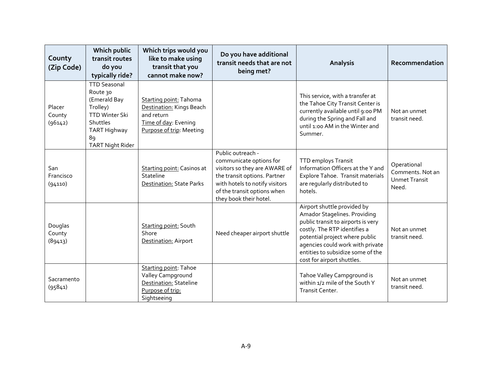| County<br>(Zip Code)         | Which public<br>transit routes<br>do you<br>typically ride?                                                                                              | Which trips would you<br>like to make using<br>transit that you<br>cannot make now?                                  | Do you have additional<br>transit needs that are not<br>being met?                                                                                                                                       | <b>Analysis</b>                                                                                                                                                                                                                                                            | Recommendation                                                   |
|------------------------------|----------------------------------------------------------------------------------------------------------------------------------------------------------|----------------------------------------------------------------------------------------------------------------------|----------------------------------------------------------------------------------------------------------------------------------------------------------------------------------------------------------|----------------------------------------------------------------------------------------------------------------------------------------------------------------------------------------------------------------------------------------------------------------------------|------------------------------------------------------------------|
| Placer<br>County<br>(96142)  | <b>TTD Seasonal</b><br>Route 30<br>(Emerald Bay<br>Trolley)<br><b>TTD Winter Ski</b><br>Shuttles<br><b>TART Highway</b><br>89<br><b>TART Night Rider</b> | Starting point: Tahoma<br>Destination: Kings Beach<br>and return<br>Time of day: Evening<br>Purpose of trip: Meeting |                                                                                                                                                                                                          | This service, with a transfer at<br>the Tahoe City Transit Center is<br>currently available until 9:00 PM<br>during the Spring and Fall and<br>until 1:00 AM in the Winter and<br>Summer.                                                                                  | Not an unmet<br>transit need.                                    |
| San<br>Francisco<br>(94110)  |                                                                                                                                                          | <b>Starting point: Casinos at</b><br>Stateline<br>Destination: State Parks                                           | Public outreach -<br>communicate options for<br>visitors so they are AWARE of<br>the transit options. Partner<br>with hotels to notify visitors<br>of the transit options when<br>they book their hotel. | TTD employs Transit<br>Information Officers at the Y and<br>Explore Tahoe. Transit materials<br>are regularly distributed to<br>hotels.                                                                                                                                    | Operational<br>Comments. Not an<br><b>Unmet Transit</b><br>Need. |
| Douglas<br>County<br>(89413) |                                                                                                                                                          | Starting point: South<br>Shore<br>Destination: Airport                                                               | Need cheaper airport shuttle                                                                                                                                                                             | Airport shuttle provided by<br>Amador Stagelines. Providing<br>public transit to airports is very<br>costly. The RTP identifies a<br>potential project where public<br>agencies could work with private<br>entities to subsidize some of the<br>cost for airport shuttles. | Not an unmet<br>transit need.                                    |
| Sacramento<br>(95841)        |                                                                                                                                                          | Starting point: Tahoe<br>Valley Campground<br><b>Destination: Stateline</b><br>Purpose of trip:<br>Sightseeing       |                                                                                                                                                                                                          | Tahoe Valley Campground is<br>within 1/2 mile of the South Y<br>Transit Center.                                                                                                                                                                                            | Not an unmet<br>transit need.                                    |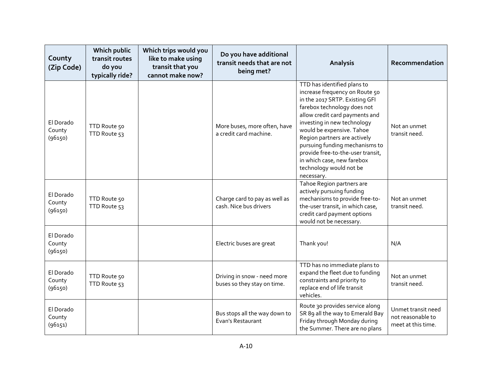| County<br>(Zip Code)           | Which public<br>transit routes<br>do you<br>typically ride? | Which trips would you<br>like to make using<br>transit that you<br>cannot make now? | Do you have additional<br>transit needs that are not<br>being met? | <b>Analysis</b>                                                                                                                                                                                                                                                                                                                                                                                            | Recommendation                                                |
|--------------------------------|-------------------------------------------------------------|-------------------------------------------------------------------------------------|--------------------------------------------------------------------|------------------------------------------------------------------------------------------------------------------------------------------------------------------------------------------------------------------------------------------------------------------------------------------------------------------------------------------------------------------------------------------------------------|---------------------------------------------------------------|
| El Dorado<br>County<br>(96150) | TTD Route 50<br>TTD Route 53                                |                                                                                     | More buses, more often, have<br>a credit card machine.             | TTD has identified plans to<br>increase frequency on Route 50<br>in the 2017 SRTP. Existing GFI<br>farebox technology does not<br>allow credit card payments and<br>investing in new technology<br>would be expensive. Tahoe<br>Region partners are actively<br>pursuing funding mechanisms to<br>provide free-to-the-user transit,<br>in which case, new farebox<br>technology would not be<br>necessary. | Not an unmet<br>transit need.                                 |
| El Dorado<br>County<br>(96150) | TTD Route 50<br>TTD Route 53                                |                                                                                     | Charge card to pay as well as<br>cash. Nice bus drivers            | Tahoe Region partners are<br>actively pursuing funding<br>mechanisms to provide free-to-<br>the-user transit, in which case,<br>credit card payment options<br>would not be necessary.                                                                                                                                                                                                                     | Not an unmet<br>transit need.                                 |
| El Dorado<br>County<br>(96150) |                                                             |                                                                                     | Electric buses are great                                           | Thank you!                                                                                                                                                                                                                                                                                                                                                                                                 | N/A                                                           |
| El Dorado<br>County<br>(96150) | TTD Route 50<br>TTD Route 53                                |                                                                                     | Driving in snow - need more<br>buses so they stay on time.         | TTD has no immediate plans to<br>expand the fleet due to funding<br>constraints and priority to<br>replace end of life transit<br>vehicles.                                                                                                                                                                                                                                                                | Not an unmet<br>transit need.                                 |
| El Dorado<br>County<br>(96151) |                                                             |                                                                                     | Bus stops all the way down to<br>Evan's Restaurant                 | Route 30 provides service along<br>SR 89 all the way to Emerald Bay<br>Friday through Monday during<br>the Summer. There are no plans                                                                                                                                                                                                                                                                      | Unmet transit need<br>not reasonable to<br>meet at this time. |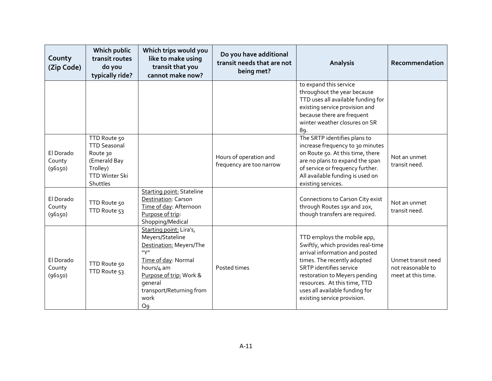| County<br>(Zip Code)           | Which public<br>transit routes<br>do you<br>typically ride?                                                      | Which trips would you<br>like to make using<br>transit that you<br>cannot make now?                                                                                                                               | Do you have additional<br>transit needs that are not<br>being met? | Analysis                                                                                                                                                                                                                                                                                              | Recommendation                                                |
|--------------------------------|------------------------------------------------------------------------------------------------------------------|-------------------------------------------------------------------------------------------------------------------------------------------------------------------------------------------------------------------|--------------------------------------------------------------------|-------------------------------------------------------------------------------------------------------------------------------------------------------------------------------------------------------------------------------------------------------------------------------------------------------|---------------------------------------------------------------|
|                                |                                                                                                                  |                                                                                                                                                                                                                   |                                                                    | to expand this service<br>throughout the year because<br>TTD uses all available funding for<br>existing service provision and<br>because there are frequent<br>winter weather closures on SR<br>89.                                                                                                   |                                                               |
| El Dorado<br>County<br>(96150) | TTD Route 50<br><b>TTD Seasonal</b><br>Route 30<br>(Emerald Bay<br>Trolley)<br><b>TTD Winter Ski</b><br>Shuttles |                                                                                                                                                                                                                   | Hours of operation and<br>frequency are too narrow                 | The SRTP identifies plans to<br>increase frequency to 30 minutes<br>on Route 50. At this time, there<br>are no plans to expand the span<br>of service or frequency further.<br>All available funding is used on<br>existing services.                                                                 | Not an unmet<br>transit need.                                 |
| El Dorado<br>County<br>(96150) | TTD Route 50<br>TTD Route 53                                                                                     | <b>Starting point: Stateline</b><br><b>Destination: Carson</b><br>Time of day: Afternoon<br>Purpose of trip:<br>Shopping/Medical                                                                                  |                                                                    | Connections to Carson City exist<br>through Routes 19x and 20x,<br>though transfers are required.                                                                                                                                                                                                     | Not an unmet<br>transit need.                                 |
| El Dorado<br>County<br>(96150) | TTD Route 50<br>TTD Route 53                                                                                     | Starting point: Lira's,<br>Meyers/Stateline<br>Destination: Meyers/The<br>iryii.<br>Time of day: Normal<br>hours/4 am<br>Purpose of trip: Work &<br>qeneral<br>transport/Returning from<br>work<br>Q <sub>9</sub> | Posted times                                                       | TTD employs the mobile app,<br>Swiftly, which provides real-time<br>arrival information and posted<br>times. The recently adopted<br><b>SRTP</b> identifies service<br>restoration to Meyers pending<br>resources. At this time, TTD<br>uses all available funding for<br>existing service provision. | Unmet transit need<br>not reasonable to<br>meet at this time. |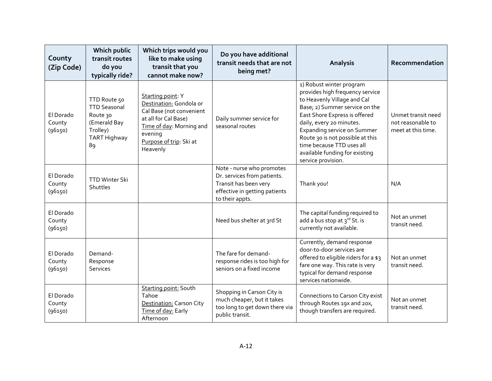| County<br>(Zip Code)           | Which public<br>transit routes<br>do you<br>typically ride?                                              | Which trips would you<br>like to make using<br>transit that you<br>cannot make now?                                                                                            | Do you have additional<br>transit needs that are not<br>being met?                                                                    | <b>Analysis</b>                                                                                                                                                                                                                                                                                                                                          | Recommendation                                                |
|--------------------------------|----------------------------------------------------------------------------------------------------------|--------------------------------------------------------------------------------------------------------------------------------------------------------------------------------|---------------------------------------------------------------------------------------------------------------------------------------|----------------------------------------------------------------------------------------------------------------------------------------------------------------------------------------------------------------------------------------------------------------------------------------------------------------------------------------------------------|---------------------------------------------------------------|
| El Dorado<br>County<br>(96150) | TTD Route 50<br><b>TTD Seasonal</b><br>Route 30<br>(Emerald Bay<br>Trolley)<br><b>TART Highway</b><br>89 | Starting point: Y<br>Destination: Gondola or<br>Cal Base (not convenient<br>at all for Cal Base)<br>Time of day: Morning and<br>evening<br>Purpose of trip: Ski at<br>Heavenly | Daily summer service for<br>seasonal routes                                                                                           | 1) Robust winter program<br>provides high frequency service<br>to Heavenly Village and Cal<br>Base; 2) Summer service on the<br>East Shore Express is offered<br>daily, every 20 minutes.<br><b>Expanding service on Summer</b><br>Route 30 is not possible at this<br>time because TTD uses all<br>available funding for existing<br>service provision. | Unmet transit need<br>not reasonable to<br>meet at this time. |
| El Dorado<br>County<br>(96150) | <b>TTD Winter Ski</b><br>Shuttles                                                                        |                                                                                                                                                                                | Note - nurse who promotes<br>Dr. services from patients.<br>Transit has been very<br>effective in getting patients<br>to their appts. | Thank you!                                                                                                                                                                                                                                                                                                                                               | N/A                                                           |
| El Dorado<br>County<br>(96150) |                                                                                                          |                                                                                                                                                                                | Need bus shelter at 3rd St                                                                                                            | The capital funding required to<br>add a bus stop at 3rd St. is<br>currently not available.                                                                                                                                                                                                                                                              | Not an unmet<br>transit need.                                 |
| El Dorado<br>County<br>(96150) | Demand-<br>Response<br>Services                                                                          |                                                                                                                                                                                | The fare for demand-<br>response rides is too high for<br>seniors on a fixed income                                                   | Currently, demand response<br>door-to-door services are<br>offered to eligible riders for a \$3<br>fare one way. This rate is very<br>typical for demand response<br>services nationwide.                                                                                                                                                                | Not an unmet<br>transit need.                                 |
| El Dorado<br>County<br>(96150) |                                                                                                          | Starting point: South<br>Tahoe<br>Destination: Carson City<br>Time of day: Early<br>Afternoon                                                                                  | Shopping in Carson City is<br>much cheaper, but it takes<br>too long to get down there via<br>public transit.                         | Connections to Carson City exist<br>through Routes 19x and 20x,<br>though transfers are required.                                                                                                                                                                                                                                                        | Not an unmet<br>transit need.                                 |